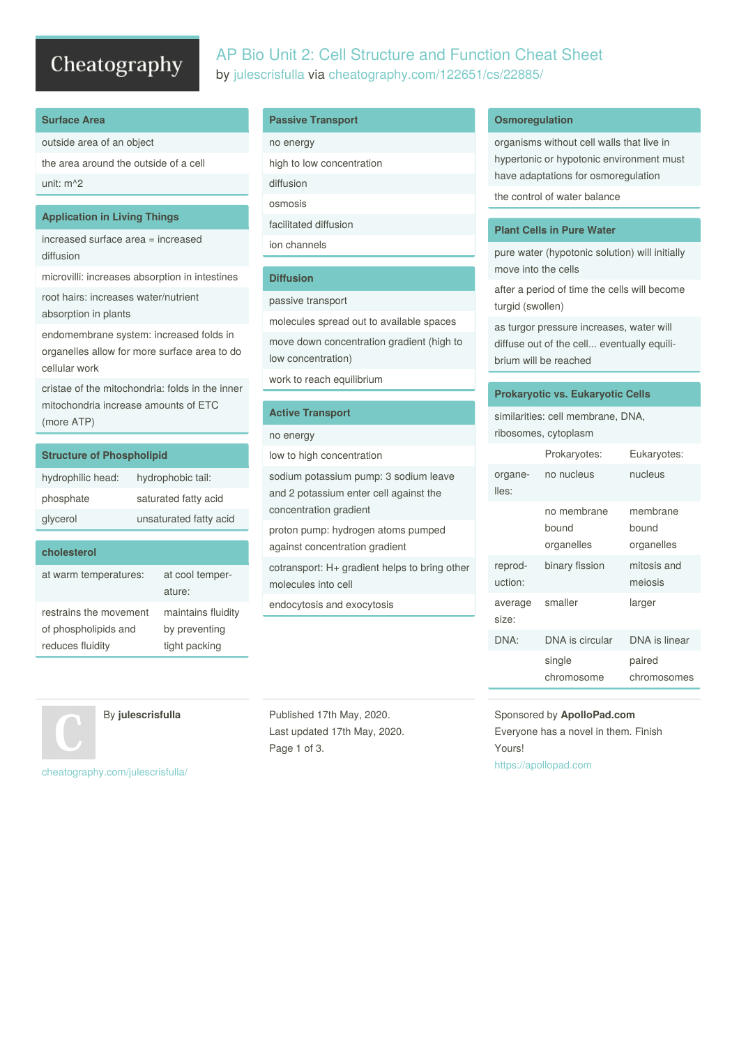# Cheatography

# AP Bio Unit 2: Cell Structure and Function Cheat Sheet by [julescrisfulla](http://www.cheatography.com/julescrisfulla/) via [cheatography.com/122651/cs/22885/](http://www.cheatography.com/julescrisfulla/cheat-sheets/ap-bio-unit-2-cell-structure-and-function)

## **Surface Area**

outside area of an object

the area around the outside of a cell unit: m^2

### **Application in Living Things**

increased surface area = increased diffusion

microvilli: increases absorption in intestines

root hairs: increases water/nutrient absorption in plants

endomembrane system: increased folds in organelles allow for more surface area to do cellular work

cristae of the mitochondria: folds in the inner mitochondria increase amounts of ETC (more ATP)

| <b>Structure of Phospholipid</b> |                        |  |
|----------------------------------|------------------------|--|
| hydrophilic head:                | hydrophobic tail:      |  |
| phosphate                        | saturated fatty acid   |  |
| glycerol                         | unsaturated fatty acid |  |
|                                  |                        |  |
| cholesterol                      |                        |  |

| at warm temperatures:  | at cool temper-<br>ature: |
|------------------------|---------------------------|
| restrains the movement | maintains fluidity        |
| of phospholipids and   | by preventing             |
| reduces fluidity       | tight packing             |

# **Passive Transport**

| no energy                 |  |
|---------------------------|--|
| high to low concentration |  |
| diffusion                 |  |
| osmosis                   |  |
| facilitated diffusion     |  |
| ion channels              |  |
|                           |  |

# **Diffusion**

#### passive transport

molecules spread out to available spaces

move down concentration gradient (high to low concentration)

work to reach equilibrium

### **Active Transport**

no energy

low to high concentration

sodium potassium pump: 3 sodium leave and 2 potassium enter cell against the concentration gradient

proton pump: hydrogen atoms pumped against concentration gradient

cotransport: H+ gradient helps to bring other molecules into cell

endocytosis and exocytosis

By **julescrisfulla**

Last updated 17th May, 2020. Page 1 of 3.

## **Osmoregulation**

organisms without cell walls that live in hypertonic or hypotonic environment must have adaptations for osmoregulation the control of water balance

# **Plant Cells in Pure Water**

pure water (hypotonic solution) will initially move into the cells

after a period of time the cells will become turgid (swollen)

as turgor pressure increases, water will diffuse out of the cell... eventually equili‐ brium will be reached

### **Prokaryotic vs. Eukaryotic Cells**

similarities: cell membrane, DNA, ribosomes, cytoplasm

|                    | Prokaryotes:                       | Eukaryotes:                     |
|--------------------|------------------------------------|---------------------------------|
| organe-<br>lles:   | no nucleus                         | nucleus                         |
|                    | no membrane<br>bound<br>organelles | membrane<br>bound<br>organelles |
| reprod-<br>uction: | binary fission                     | mitosis and<br>meiosis          |
| average<br>size:   | smaller                            | larger                          |
| DNA:               | DNA is circular                    | DNA is linear                   |
|                    | single<br>chromosome               | paired<br>chromosomes           |

# Sponsored by **ApolloPad.com** Everyone has a novel in them. Finish Yours! <https://apollopad.com>

[cheatography.com/julescrisfulla/](http://www.cheatography.com/julescrisfulla/)

Published 17th May, 2020.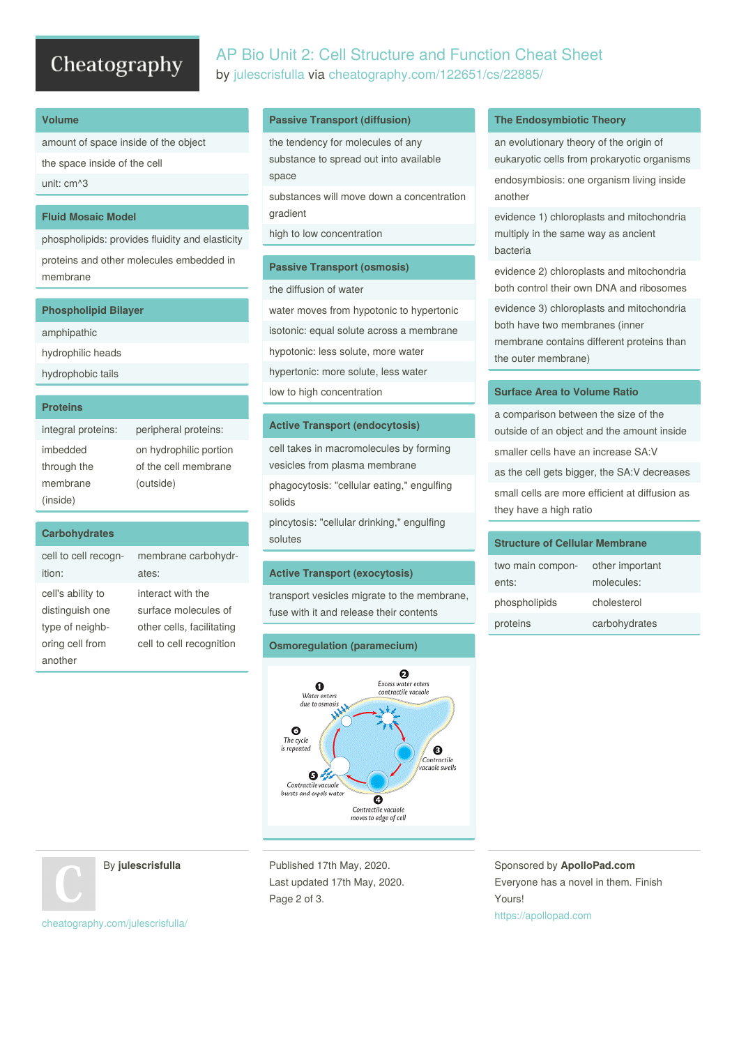# Cheatography

# AP Bio Unit 2: Cell Structure and Function Cheat Sheet by [julescrisfulla](http://www.cheatography.com/julescrisfulla/) via [cheatography.com/122651/cs/22885/](http://www.cheatography.com/julescrisfulla/cheat-sheets/ap-bio-unit-2-cell-structure-and-function)

#### **Volume**

amount of space inside of the object the space inside of the cell unit: cm^3

## **Fluid Mosaic Model**

phospholipids: provides fluidity and elasticity proteins and other molecules embedded in membrane

| <b>Phospholipid Bilayer</b> |
|-----------------------------|
| amphipathic                 |
| hydrophilic heads           |
| hydrophobic tails           |
|                             |
|                             |

#### **Proteins**

| integral proteins: | peripheral proteins:   |
|--------------------|------------------------|
| imbedded           | on hydrophilic portion |
| through the        | of the cell membrane   |
| membrane           | (outside)              |
| (inside)           |                        |

#### **Carbohydrates** cell to cell recognition: membrane carbohydr‐ ates: cell's ability to distinguish one type of neighb‐ oring cell from another interact with the surface molecules of other cells, facilitating cell to cell recognition

### **Passive Transport (diffusion)**

the tendency for molecules of any substance to spread out into available space

substances will move down a concentration gradient

high to low concentration

#### **Passive Transport (osmosis)**

the diffusion of water

water moves from hypotonic to hypertonic

isotonic: equal solute across a membrane

hypotonic: less solute, more water

hypertonic: more solute, less water

low to high concentration

#### **Active Transport (endocytosis)**

cell takes in macromolecules by forming vesicles from plasma membrane

phagocytosis: "cellular eating," engulfing solids

pincytosis: "cellular drinking," engulfing solutes

#### **Active Transport (exocytosis)**

transport vesicles migrate to the membrane, fuse with it and release their contents

# **Osmoregulation (paramecium)**



# **The Endosymbiotic Theory**

an evolutionary theory of the origin of eukaryotic cells from prokaryotic organisms

endosymbiosis: one organism living inside another

evidence 1) chloroplasts and mitochondria multiply in the same way as ancient bacteria

evidence 2) chloroplasts and mitochondria both control their own DNA and ribosomes

evidence 3) chloroplasts and mitochondria both have two membranes (inner membrane contains different proteins than the outer membrane)

# **Surface Area to Volume Ratio**

a comparison between the size of the outside of an object and the amount inside smaller cells have an increase SA:V as the cell gets bigger, the SA:V decreases small cells are more efficient at diffusion as they have a high ratio

# **Structure of Cellular Membrane**

| two main compon- | other important |
|------------------|-----------------|
| ents:            | molecules:      |
| phospholipids    | cholesterol     |
| proteins         | carbohydrates   |

By **julescrisfulla**

Published 17th May, 2020. Last updated 17th May, 2020. Page 2 of 3.

Sponsored by **ApolloPad.com** Everyone has a novel in them. Finish Yours! <https://apollopad.com>

[cheatography.com/julescrisfulla/](http://www.cheatography.com/julescrisfulla/)